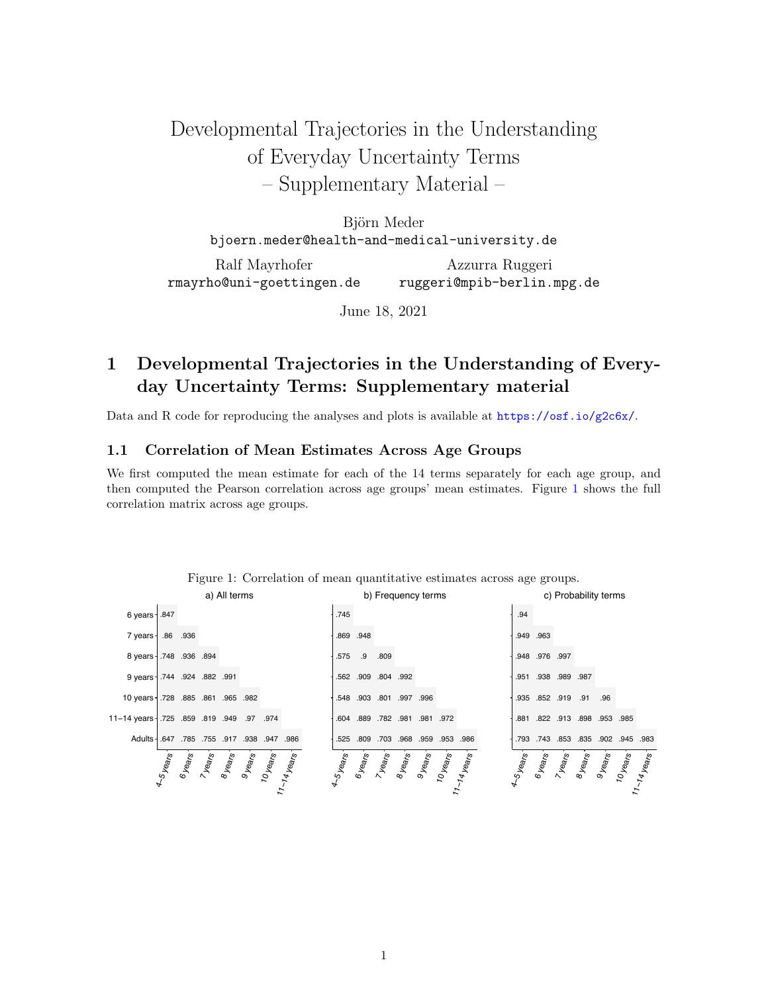# Developmental Trajectories in the Understanding of Everyday Uncertainty Terms – Supplementary Material –

Björn Meder bjoern.meder@health-and-medical-university.de

Ralf Mayrhofer rmayrho@uni-goettingen.de Azzurra Ruggeri ruggeri@mpib-berlin.mpg.de

June 18, 2021

## 1 Developmental Trajectories in the Understanding of Everyday Uncertainty Terms: Supplementary material

Data and R code for reproducing the analyses and plots is available at <https://osf.io/g2c6x/>.

#### 1.1 Correlation of Mean Estimates Across Age Groups

We first computed the mean estimate for each of the 14 terms separately for each age group, and then computed the Pearson correlation across age groups' mean estimates. Figure [1](#page-0-0) shows the full correlation matrix across age groups.



<span id="page-0-0"></span>Figure 1: Correlation of mean quantitative estimates across age groups.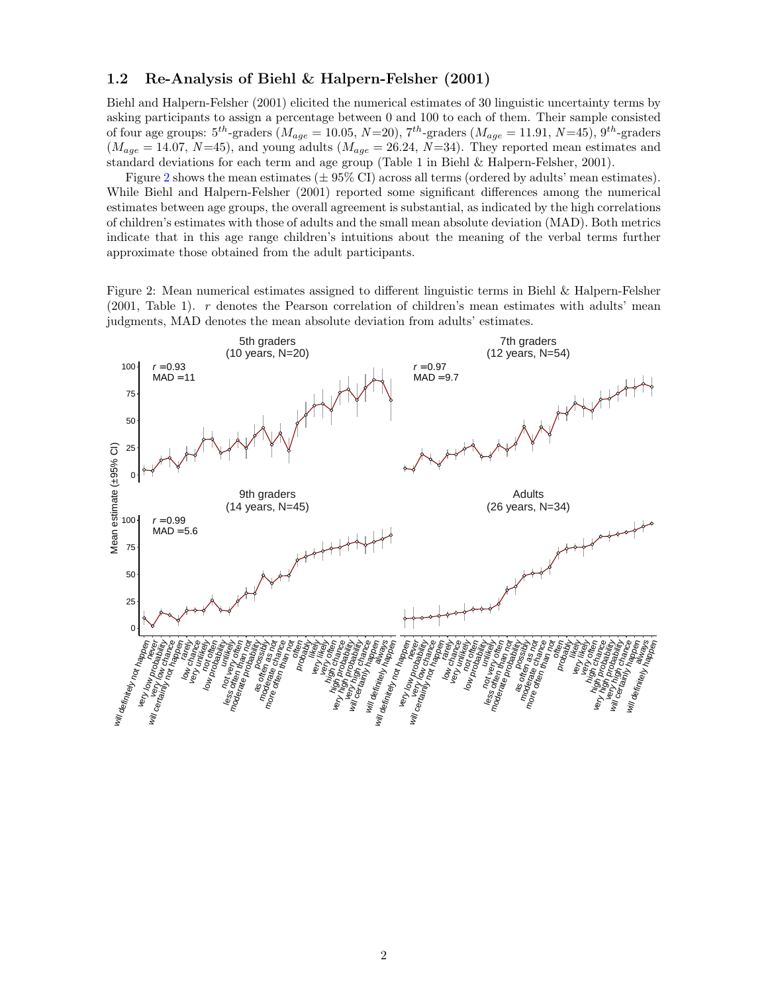#### 1.2 Re-Analysis of Biehl & Halpern-Felsher (2001)

Biehl and Halpern-Felsher (2001) elicited the numerical estimates of 30 linguistic uncertainty terms by asking participants to assign a percentage between 0 and 100 to each of them. Their sample consisted of four age groups:  $5^{th}$ -graders  $(M_{age} = 10.05, N=20), 7^{th}$ -graders  $(M_{age} = 11.91, N=45), 9^{th}$ -graders  $(M_{age} = 14.07, N=45)$ , and young adults  $(M_{age} = 26.24, N=34)$ . They reported mean estimates and standard deviations for each term and age group (Table 1 in Biehl & Halpern-Felsher, 2001).

Figure [2](#page-1-0) shows the mean estimates  $(\pm 95\% \text{ CI})$  across all terms (ordered by adults' mean estimates). While Biehl and Halpern-Felsher (2001) reported some significant differences among the numerical estimates between age groups, the overall agreement is substantial, as indicated by the high correlations of children's estimates with those of adults and the small mean absolute deviation (MAD). Both metrics indicate that in this age range children's intuitions about the meaning of the verbal terms further approximate those obtained from the adult participants.

<span id="page-1-0"></span>Figure 2: Mean numerical estimates assigned to different linguistic terms in Biehl & Halpern-Felsher (2001, Table 1). r denotes the Pearson correlation of children's mean estimates with adults' mean judgments, MAD denotes the mean absolute deviation from adults' estimates.

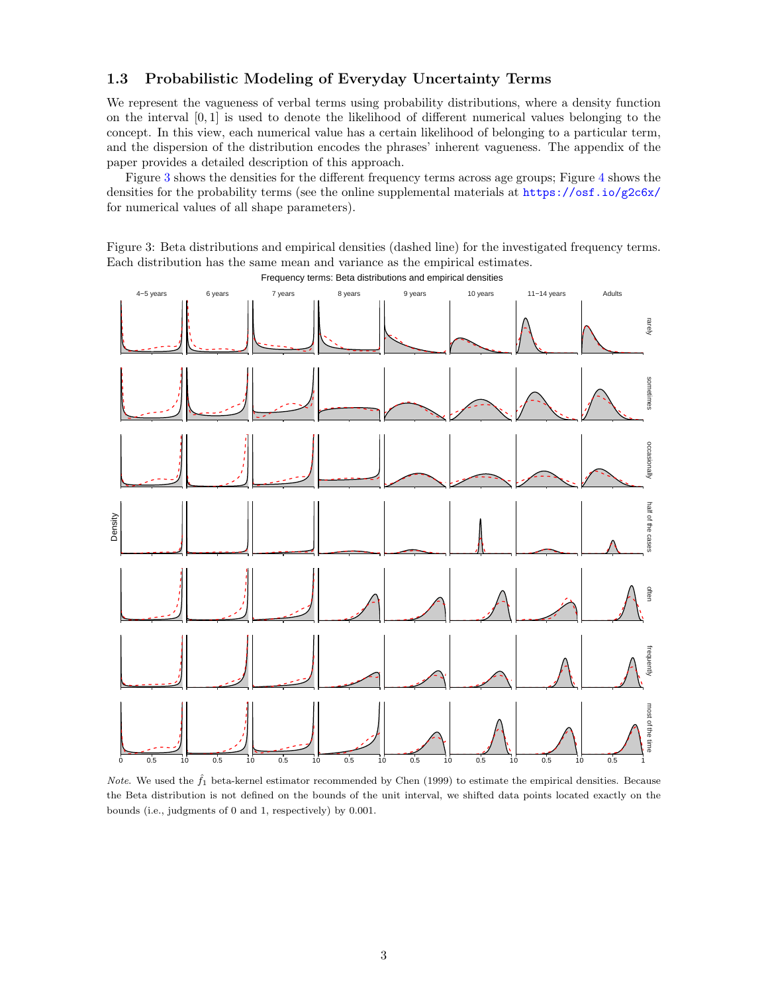#### 1.3 Probabilistic Modeling of Everyday Uncertainty Terms

We represent the vagueness of verbal terms using probability distributions, where a density function on the interval [0, 1] is used to denote the likelihood of different numerical values belonging to the concept. In this view, each numerical value has a certain likelihood of belonging to a particular term, and the dispersion of the distribution encodes the phrases' inherent vagueness. The appendix of the paper provides a detailed description of this approach.

Figure [3](#page-2-0) shows the densities for the different frequency terms across age groups; Figure [4](#page-3-0) shows the densities for the probability terms (see the online supplemental materials at <https://osf.io/g2c6x/> for numerical values of all shape parameters).

<span id="page-2-0"></span>Figure 3: Beta distributions and empirical densities (dashed line) for the investigated frequency terms. Each distribution has the same mean and variance as the empirical estimates.



Frequency terms: Beta distributions and empirical densities

Note. We used the  $\hat{f}_1$  beta-kernel estimator recommended by Chen (1999) to estimate the empirical densities. Because the Beta distribution is not defined on the bounds of the unit interval, we shifted data points located exactly on the bounds (i.e., judgments of 0 and 1, respectively) by 0.001.